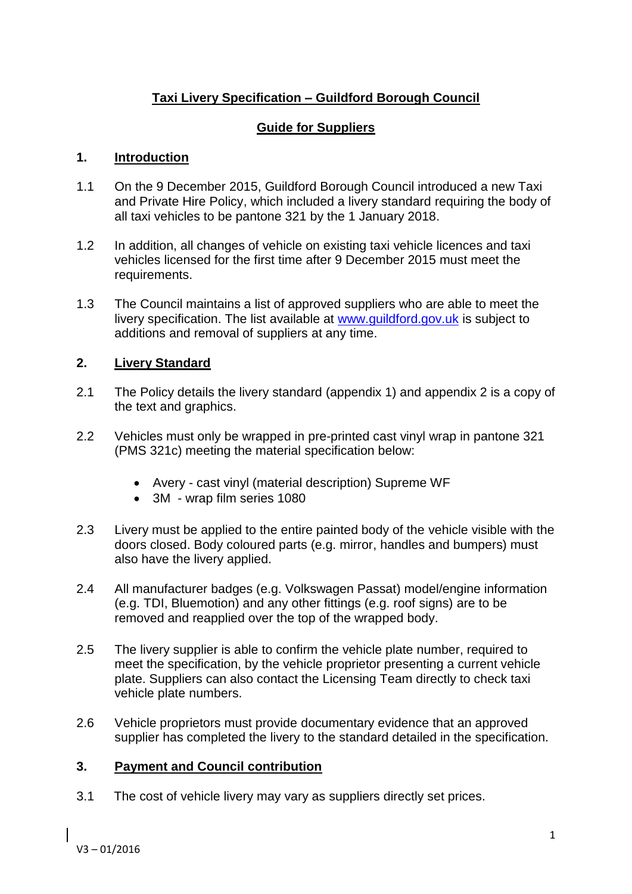# **Taxi Livery Specification – Guildford Borough Council**

## **Guide for Suppliers**

### **1. Introduction**

- 1.1 On the 9 December 2015, Guildford Borough Council introduced a new Taxi and Private Hire Policy, which included a livery standard requiring the body of all taxi vehicles to be pantone 321 by the 1 January 2018.
- 1.2 In addition, all changes of vehicle on existing taxi vehicle licences and taxi vehicles licensed for the first time after 9 December 2015 must meet the requirements.
- 1.3 The Council maintains a list of approved suppliers who are able to meet the livery specification. The list available at [www.guildford.gov.uk](http://www.guildford.gov.uk/) is subject to additions and removal of suppliers at any time.

### **2. Livery Standard**

- 2.1 The Policy details the livery standard (appendix 1) and appendix 2 is a copy of the text and graphics.
- 2.2 Vehicles must only be wrapped in pre-printed cast vinyl wrap in pantone 321 (PMS 321c) meeting the material specification below:
	- Avery cast vinyl (material description) Supreme WF
	- 3M wrap film series 1080
- 2.3 Livery must be applied to the entire painted body of the vehicle visible with the doors closed. Body coloured parts (e.g. mirror, handles and bumpers) must also have the livery applied.
- 2.4 All manufacturer badges (e.g. Volkswagen Passat) model/engine information (e.g. TDI, Bluemotion) and any other fittings (e.g. roof signs) are to be removed and reapplied over the top of the wrapped body.
- 2.5 The livery supplier is able to confirm the vehicle plate number, required to meet the specification, by the vehicle proprietor presenting a current vehicle plate. Suppliers can also contact the Licensing Team directly to check taxi vehicle plate numbers.
- 2.6 Vehicle proprietors must provide documentary evidence that an approved supplier has completed the livery to the standard detailed in the specification.

### **3. Payment and Council contribution**

3.1 The cost of vehicle livery may vary as suppliers directly set prices.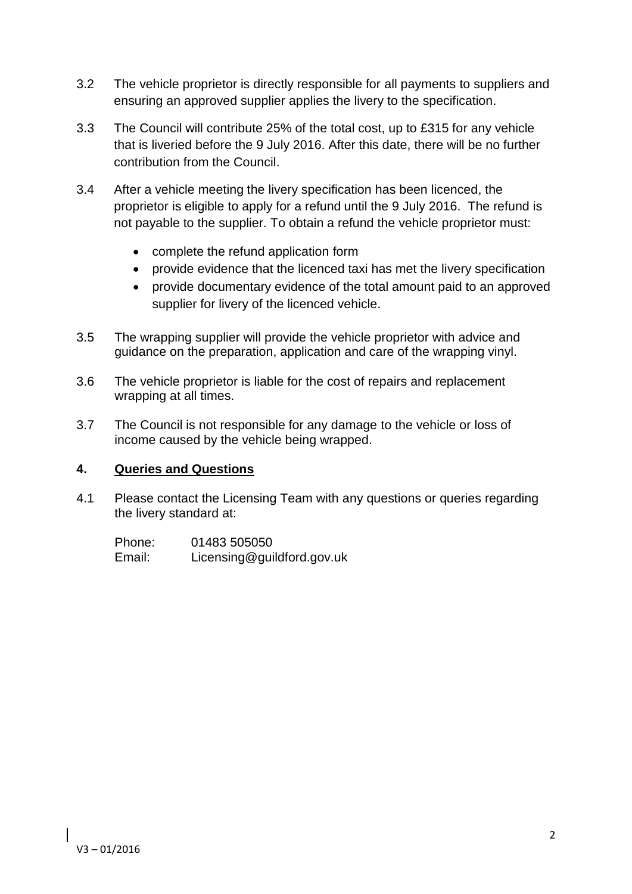- 3.2 The vehicle proprietor is directly responsible for all payments to suppliers and ensuring an approved supplier applies the livery to the specification.
- 3.3 The Council will contribute 25% of the total cost, up to £315 for any vehicle that is liveried before the 9 July 2016. After this date, there will be no further contribution from the Council.
- 3.4 After a vehicle meeting the livery specification has been licenced, the proprietor is eligible to apply for a refund until the 9 July 2016. The refund is not payable to the supplier. To obtain a refund the vehicle proprietor must:
	- complete the refund application form
	- provide evidence that the licenced taxi has met the livery specification
	- provide documentary evidence of the total amount paid to an approved supplier for livery of the licenced vehicle.
- 3.5 The wrapping supplier will provide the vehicle proprietor with advice and guidance on the preparation, application and care of the wrapping vinyl.
- 3.6 The vehicle proprietor is liable for the cost of repairs and replacement wrapping at all times.
- 3.7 The Council is not responsible for any damage to the vehicle or loss of income caused by the vehicle being wrapped.

### **4. Queries and Questions**

4.1 Please contact the Licensing Team with any questions or queries regarding the livery standard at:

| Phone: | 01483 505050               |
|--------|----------------------------|
| Email: | Licensing@guildford.gov.uk |